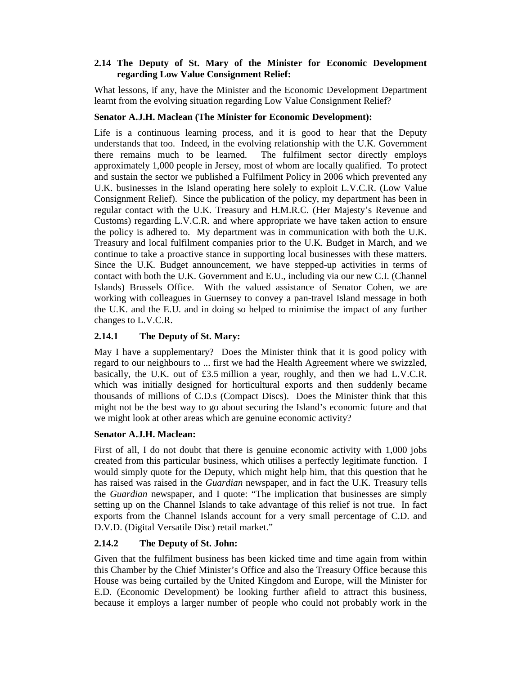#### **2.14 The Deputy of St. Mary of the Minister for Economic Development regarding Low Value Consignment Relief:**

What lessons, if any, have the Minister and the Economic Development Department learnt from the evolving situation regarding Low Value Consignment Relief?

### **Senator A.J.H. Maclean (The Minister for Economic Development):**

Life is a continuous learning process, and it is good to hear that the Deputy understands that too. Indeed, in the evolving relationship with the U.K. Government there remains much to be learned. The fulfilment sector directly employs approximately 1,000 people in Jersey, most of whom are locally qualified. To protect and sustain the sector we published a Fulfilment Policy in 2006 which prevented any U.K. businesses in the Island operating here solely to exploit L.V.C.R. (Low Value Consignment Relief). Since the publication of the policy, my department has been in regular contact with the U.K. Treasury and H.M.R.C. (Her Majesty's Revenue and Customs) regarding L.V.C.R. and where appropriate we have taken action to ensure the policy is adhered to. My department was in communication with both the U.K. Treasury and local fulfilment companies prior to the U.K. Budget in March, and we continue to take a proactive stance in supporting local businesses with these matters. Since the U.K. Budget announcement, we have stepped-up activities in terms of contact with both the U.K. Government and E.U., including via our new C.I. (Channel Islands) Brussels Office. With the valued assistance of Senator Cohen, we are working with colleagues in Guernsey to convey a pan-travel Island message in both the U.K. and the E.U. and in doing so helped to minimise the impact of any further changes to L.V.C.R.

#### **2.14.1 The Deputy of St. Mary:**

May I have a supplementary? Does the Minister think that it is good policy with regard to our neighbours to ... first we had the Health Agreement where we swizzled, basically, the U.K. out of £3.5 million a year, roughly, and then we had L.V.C.R. which was initially designed for horticultural exports and then suddenly became thousands of millions of C.D.s (Compact Discs). Does the Minister think that this might not be the best way to go about securing the Island's economic future and that we might look at other areas which are genuine economic activity?

#### **Senator A.J.H. Maclean:**

First of all, I do not doubt that there is genuine economic activity with 1,000 jobs created from this particular business, which utilises a perfectly legitimate function. I would simply quote for the Deputy, which might help him, that this question that he has raised was raised in the *Guardian* newspaper, and in fact the U.K. Treasury tells the *Guardian* newspaper, and I quote: "The implication that businesses are simply setting up on the Channel Islands to take advantage of this relief is not true. In fact exports from the Channel Islands account for a very small percentage of C.D. and D.V.D. (Digital Versatile Disc) retail market."

#### **2.14.2 The Deputy of St. John:**

Given that the fulfilment business has been kicked time and time again from within this Chamber by the Chief Minister's Office and also the Treasury Office because this House was being curtailed by the United Kingdom and Europe, will the Minister for E.D. (Economic Development) be looking further afield to attract this business, because it employs a larger number of people who could not probably work in the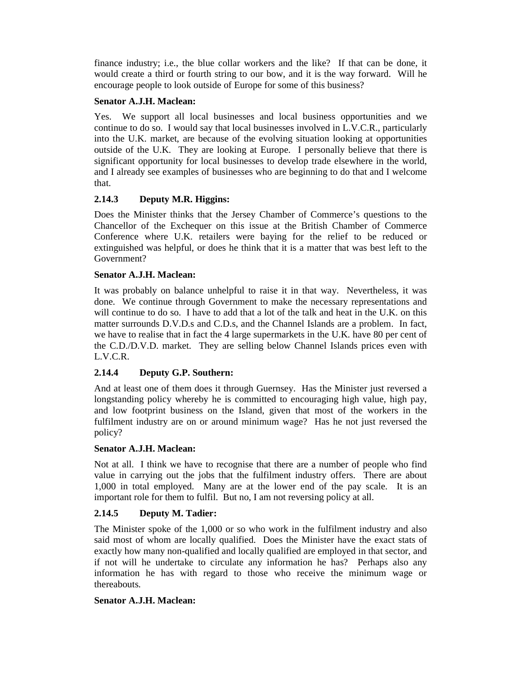finance industry; i.e., the blue collar workers and the like? If that can be done, it would create a third or fourth string to our bow, and it is the way forward. Will he encourage people to look outside of Europe for some of this business?

#### **Senator A.J.H. Maclean:**

Yes. We support all local businesses and local business opportunities and we continue to do so. I would say that local businesses involved in L.V.C.R., particularly into the U.K. market, are because of the evolving situation looking at opportunities outside of the U.K. They are looking at Europe. I personally believe that there is significant opportunity for local businesses to develop trade elsewhere in the world, and I already see examples of businesses who are beginning to do that and I welcome that.

# **2.14.3 Deputy M.R. Higgins:**

Does the Minister thinks that the Jersey Chamber of Commerce's questions to the Chancellor of the Exchequer on this issue at the British Chamber of Commerce Conference where U.K. retailers were baying for the relief to be reduced or extinguished was helpful, or does he think that it is a matter that was best left to the Government?

# **Senator A.J.H. Maclean:**

It was probably on balance unhelpful to raise it in that way. Nevertheless, it was done. We continue through Government to make the necessary representations and will continue to do so. I have to add that a lot of the talk and heat in the U.K. on this matter surrounds D.V.D.s and C.D.s, and the Channel Islands are a problem. In fact, we have to realise that in fact the 4 large supermarkets in the U.K. have 80 per cent of the C.D./D.V.D. market. They are selling below Channel Islands prices even with L.V.C.R.

# **2.14.4 Deputy G.P. Southern:**

And at least one of them does it through Guernsey. Has the Minister just reversed a longstanding policy whereby he is committed to encouraging high value, high pay, and low footprint business on the Island, given that most of the workers in the fulfilment industry are on or around minimum wage? Has he not just reversed the policy?

# **Senator A.J.H. Maclean:**

Not at all. I think we have to recognise that there are a number of people who find value in carrying out the jobs that the fulfilment industry offers. There are about 1,000 in total employed. Many are at the lower end of the pay scale. It is an important role for them to fulfil. But no, I am not reversing policy at all.

# **2.14.5 Deputy M. Tadier:**

The Minister spoke of the 1,000 or so who work in the fulfilment industry and also said most of whom are locally qualified. Does the Minister have the exact stats of exactly how many non-qualified and locally qualified are employed in that sector, and if not will he undertake to circulate any information he has? Perhaps also any information he has with regard to those who receive the minimum wage or thereabouts.

#### **Senator A.J.H. Maclean:**